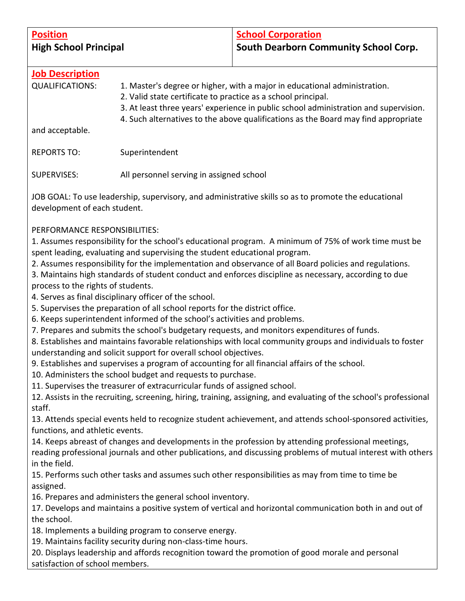| <b>Position</b><br><b>High School Principal</b>                                                                                                                                                                                                              |                                                                                                                                                                                                                                                                                                                                                                                                                                                                                                                   | <b>School Corporation</b><br>South Dearborn Community School Corp.                                                                                                                                                                                                                                                                                                                                                                                                                                                                                                                                                                                                                                                                                                                                                                                                                                                                                                                                                                                                                                  |  |
|--------------------------------------------------------------------------------------------------------------------------------------------------------------------------------------------------------------------------------------------------------------|-------------------------------------------------------------------------------------------------------------------------------------------------------------------------------------------------------------------------------------------------------------------------------------------------------------------------------------------------------------------------------------------------------------------------------------------------------------------------------------------------------------------|-----------------------------------------------------------------------------------------------------------------------------------------------------------------------------------------------------------------------------------------------------------------------------------------------------------------------------------------------------------------------------------------------------------------------------------------------------------------------------------------------------------------------------------------------------------------------------------------------------------------------------------------------------------------------------------------------------------------------------------------------------------------------------------------------------------------------------------------------------------------------------------------------------------------------------------------------------------------------------------------------------------------------------------------------------------------------------------------------------|--|
| <b>Job Description</b><br><b>QUALIFICATIONS:</b>                                                                                                                                                                                                             | 1. Master's degree or higher, with a major in educational administration.<br>2. Valid state certificate to practice as a school principal.<br>3. At least three years' experience in public school administration and supervision.<br>4. Such alternatives to the above qualifications as the Board may find appropriate                                                                                                                                                                                          |                                                                                                                                                                                                                                                                                                                                                                                                                                                                                                                                                                                                                                                                                                                                                                                                                                                                                                                                                                                                                                                                                                     |  |
| and acceptable.                                                                                                                                                                                                                                              |                                                                                                                                                                                                                                                                                                                                                                                                                                                                                                                   |                                                                                                                                                                                                                                                                                                                                                                                                                                                                                                                                                                                                                                                                                                                                                                                                                                                                                                                                                                                                                                                                                                     |  |
| <b>REPORTS TO:</b>                                                                                                                                                                                                                                           | Superintendent                                                                                                                                                                                                                                                                                                                                                                                                                                                                                                    |                                                                                                                                                                                                                                                                                                                                                                                                                                                                                                                                                                                                                                                                                                                                                                                                                                                                                                                                                                                                                                                                                                     |  |
| <b>SUPERVISES:</b>                                                                                                                                                                                                                                           | All personnel serving in assigned school                                                                                                                                                                                                                                                                                                                                                                                                                                                                          |                                                                                                                                                                                                                                                                                                                                                                                                                                                                                                                                                                                                                                                                                                                                                                                                                                                                                                                                                                                                                                                                                                     |  |
| JOB GOAL: To use leadership, supervisory, and administrative skills so as to promote the educational<br>development of each student.                                                                                                                         |                                                                                                                                                                                                                                                                                                                                                                                                                                                                                                                   |                                                                                                                                                                                                                                                                                                                                                                                                                                                                                                                                                                                                                                                                                                                                                                                                                                                                                                                                                                                                                                                                                                     |  |
| PERFORMANCE RESPONSIBILITIES:<br>process to the rights of students.<br>staff.<br>functions, and athletic events.                                                                                                                                             | spent leading, evaluating and supervising the student educational program.<br>4. Serves as final disciplinary officer of the school.<br>5. Supervises the preparation of all school reports for the district office.<br>6. Keeps superintendent informed of the school's activities and problems.<br>understanding and solicit support for overall school objectives.<br>10. Administers the school budget and requests to purchase.<br>11. Supervises the treasurer of extracurricular funds of assigned school. | 1. Assumes responsibility for the school's educational program. A minimum of 75% of work time must be<br>2. Assumes responsibility for the implementation and observance of all Board policies and regulations.<br>3. Maintains high standards of student conduct and enforces discipline as necessary, according to due<br>7. Prepares and submits the school's budgetary requests, and monitors expenditures of funds.<br>8. Establishes and maintains favorable relationships with local community groups and individuals to foster<br>9. Establishes and supervises a program of accounting for all financial affairs of the school.<br>12. Assists in the recruiting, screening, hiring, training, assigning, and evaluating of the school's professional<br>13. Attends special events held to recognize student achievement, and attends school-sponsored activities,<br>14. Keeps abreast of changes and developments in the profession by attending professional meetings,<br>reading professional journals and other publications, and discussing problems of mutual interest with others |  |
| in the field.<br>15. Performs such other tasks and assumes such other responsibilities as may from time to time be<br>assigned.                                                                                                                              |                                                                                                                                                                                                                                                                                                                                                                                                                                                                                                                   |                                                                                                                                                                                                                                                                                                                                                                                                                                                                                                                                                                                                                                                                                                                                                                                                                                                                                                                                                                                                                                                                                                     |  |
| 16. Prepares and administers the general school inventory.<br>17. Develops and maintains a positive system of vertical and horizontal communication both in and out of<br>the school.                                                                        |                                                                                                                                                                                                                                                                                                                                                                                                                                                                                                                   |                                                                                                                                                                                                                                                                                                                                                                                                                                                                                                                                                                                                                                                                                                                                                                                                                                                                                                                                                                                                                                                                                                     |  |
| 18. Implements a building program to conserve energy.<br>19. Maintains facility security during non-class-time hours.<br>20. Displays leadership and affords recognition toward the promotion of good morale and personal<br>satisfaction of school members. |                                                                                                                                                                                                                                                                                                                                                                                                                                                                                                                   |                                                                                                                                                                                                                                                                                                                                                                                                                                                                                                                                                                                                                                                                                                                                                                                                                                                                                                                                                                                                                                                                                                     |  |